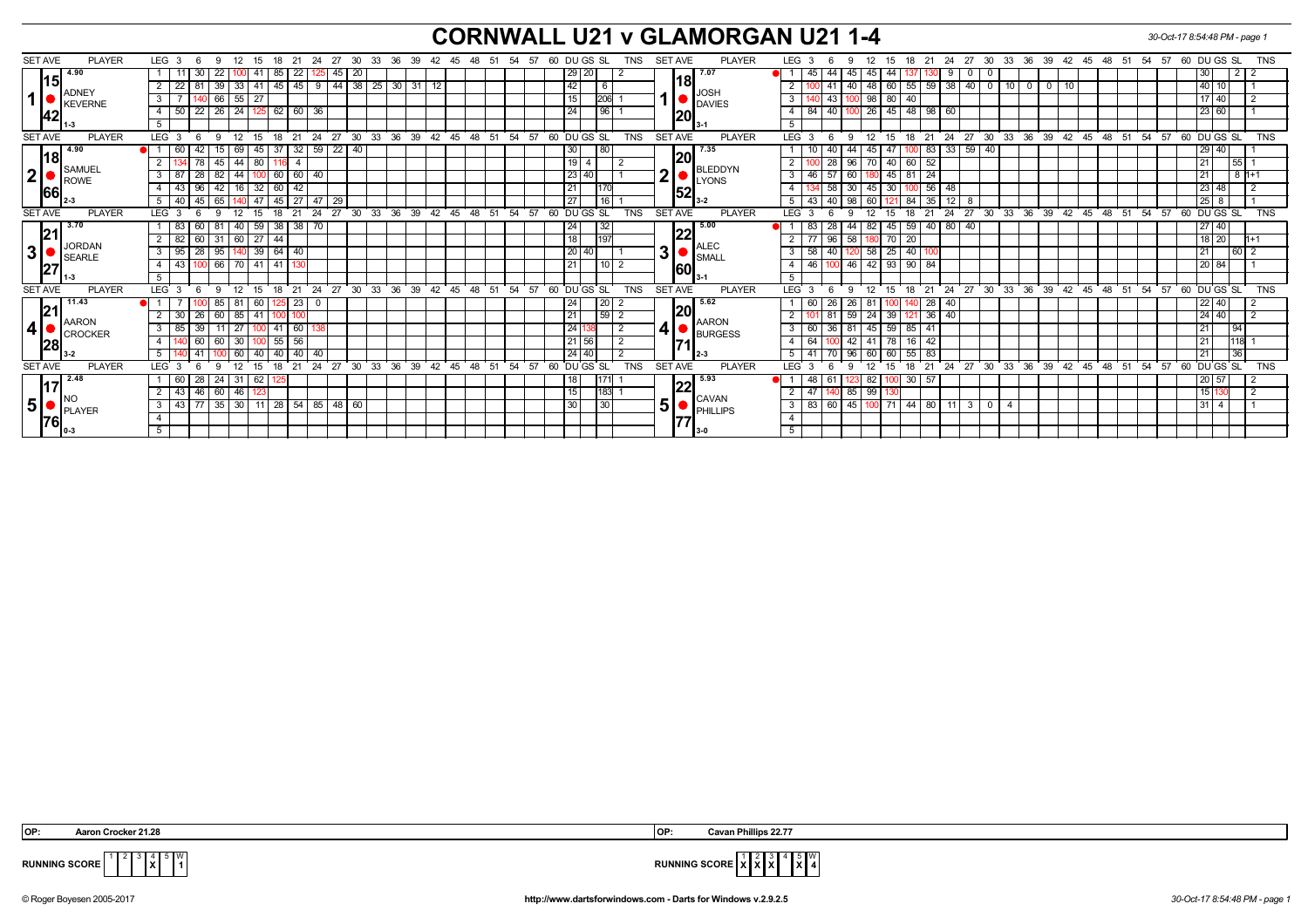## **CORNWALL U21 v GLAMORGAN U21 1-4** *30-Oct-17 8:54:48 PM - page 1*

| <b>SET AVE</b><br><b>PLAYER</b>                                      | LEG <sub>3</sub><br>12<br>-6<br>9<br>15<br>18 | 27<br>30<br>33<br>- 21<br>- 24              | 36 39<br>42  45  48  51  | 54 57<br>60 DU GS SL<br>TNS                          | <b>SET AVE</b><br><b>PLAYER</b>  | LEG <sub>3</sub><br>- 21<br>24<br>27 30<br>33 36 39 42 45 48 51<br>54 57<br>60 DU GS SL<br><b>TNS</b><br>12<br>15<br>18<br>9                             |
|----------------------------------------------------------------------|-----------------------------------------------|---------------------------------------------|--------------------------|------------------------------------------------------|----------------------------------|----------------------------------------------------------------------------------------------------------------------------------------------------------|
| 4.90                                                                 | 30<br>22<br>41<br>85                          | 22<br>20<br>45                              |                          | 29 20                                                | 17.07                            | 45<br>30<br>45 44<br>$\overline{2}$<br>0<br>45                                                                                                           |
| 15<br><b>ADNEY</b><br>42                                             | 22<br>$\sqrt{33}$<br>39<br>41<br>  45         | $44 \mid 38 \mid$<br>$\sqrt{25}$<br>45<br>9 | $30 \mid 31$<br>12       | 42<br>6                                              | 18                               | 55<br>$\overline{40}$<br> 40 <br>$\sqrt{60}$<br>59<br> 38<br>$10$ 0<br>40<br>$\overline{0}$<br>48<br>-41<br>- 0                                          |
|                                                                      |                                               |                                             |                          |                                                      | <b>JOSH</b>                      | 117140                                                                                                                                                   |
|                                                                      | 66 55<br>27                                   |                                             |                          | 206<br>15                                            | <b>DAVIES</b>                    | 98   80<br>40<br>3<br>43                                                                                                                                 |
|                                                                      | $22$   26   24<br>$4 \mid 50$                 | $62 \ 60$<br>36                             |                          | 24<br>96                                             | 20                               | $148$   98   60<br>40<br>$26$   45<br> 23 60<br>$\overline{4}$<br>84                                                                                     |
|                                                                      | 5                                             |                                             |                          |                                                      |                                  | 5                                                                                                                                                        |
| <b>SET AVE</b><br><b>PLAYER</b>                                      | LEG <sup>3</sup><br>12<br>18<br>9             | 33<br>24<br>27<br>$30^{\circ}$<br>21        | $36 \t39$<br>42<br>45 48 | 51<br>54<br>60 DUGS SL<br><b>TNS</b><br>57           | <b>SET AVE</b><br><b>PLAYER</b>  | $33 \ 36$<br>24<br>27<br>$30^{\circ}$<br>$39 \t 42 \t 45 \t 48 \t 51$<br>54<br>57<br>60 DUGS SL<br><b>TNS</b><br>LEG <sup>®</sup><br>21<br>12<br>18<br>9 |
| 4.90<br> 18                                                          | 60<br>69<br>- 37<br>-42<br>45<br>15.          | 32<br>59<br>- 22 I<br>40                    |                          | 80<br>30                                             | 7.35<br> 20                      | 129140<br>59<br> 33 <br>83<br>40<br>44<br>l 47<br>45                                                                                                     |
| ∥SAMUEL                                                              | $45 \mid 44$<br>$80$ 1                        | $\overline{4}$                              |                          | 19                                                   | BLEDDYN                          | 96<br>70   40   60<br>55<br>52<br>l 21<br>28                                                                                                             |
| 2 <sup>1</sup><br>ROWE                                               | $82 \mid 44$<br>$3 \mid 87$<br>28             | 100 60 60 40                                |                          | 23 40                                                | ◠<br>LYONS                       | 60<br>$81$ 24<br>$8h+1$<br>  21<br>3<br>46<br>57<br>180 45                                                                                               |
| 66                                                                   | 16<br>32   60<br>43<br>42<br>96               | 42                                          |                          | 21                                                   | 52                               | 30<br>$45 \mid 30$<br>56<br>$123$ 48<br>58<br>l 2<br>$\overline{4}$<br>-48<br>100                                                                        |
|                                                                      | 47 45 27<br>40<br>65 140<br>45                | 47<br>29                                    |                          | 27<br>16                                             |                                  | 98<br>84<br>40<br>35<br> 25 8<br>5<br>43<br>60<br>12 <sup>1</sup><br>8                                                                                   |
| <b>SET AVE</b><br><b>PLAYER</b>                                      | 12<br>-6<br>15<br>18<br>LEG <sub>3</sub><br>9 | 33<br>36<br>21<br>24<br>27 30               | 39<br>42 45 48           | 60 DU GS SL<br>51 54 57<br><b>TNS</b>                | <b>SET AVE</b><br><b>PLAYER</b>  | 27<br>33 36 39 42 45 48 51<br>54 57<br>60 DU GS SL<br><b>TNS</b><br><b>LEG</b><br>21<br>24<br>$30^{\circ}$<br>12<br>18<br>-3<br>9                        |
| 3.70<br>21                                                           | $59 \mid 38 \mid$<br>83<br>81 40<br>60        | 38<br>70                                    |                          | 32<br>24                                             | 5.00                             | 59<br>40 80<br>40<br> 27 40<br>44<br>82 45<br>28<br>-83                                                                                                  |
|                                                                      | 82<br>60 31 60 27 44                          |                                             |                          | 18<br>197                                            | 22                               | 58<br>$180$ 70 $20$<br>$18$ 20<br>96<br>$h+1$                                                                                                            |
| JORDAN<br>3 <sup>1</sup><br>SEARLE                                   | 39   64   40<br>$3 \mid 95$<br>28   95   140  |                                             |                          | 20 40                                                | <b>ALEC</b><br>3<br><b>SMALL</b> | 58<br>40<br> 60 2<br>$\sqrt{25}$<br>$\mathbf{3}$<br>58<br>  21<br>40<br>120                                                                              |
| 27<br>1-3                                                            | 43<br>66 70 41 41                             | 130                                         |                          | $\overline{21}$<br>10 I<br>$\overline{2}$            | 60                               | 20 84<br>46 100 46<br>$42 \mid 93 \mid$<br>$90$ 84<br>$\overline{4}$                                                                                     |
|                                                                      | 5                                             |                                             |                          |                                                      |                                  | 5                                                                                                                                                        |
| <b>SET AVE</b><br><b>PLAYER</b>                                      | 12<br>LEG <sub>3</sub><br>15<br>6<br>-9       | 27 30 33 36 39<br>່ 18 ່ 21<br>24           | 42 45 48 51              | 60 DUGS SL<br>54 57<br><b>TNS</b>                    | <b>SET AVE</b><br><b>PLAYER</b>  | 24 27 30 33 36 39 42 45 48 51<br>60 DUGS SL<br><b>TNS</b><br>LEG <sub>3</sub><br>່ 18 ໋ 21<br>54 57<br>12<br>$^{\circ}$ 15<br>9                          |
| 11.43<br><b>AARON</b><br> 28                                         | 60                                            | $\overline{23}$<br>- 0                      |                          | 20<br>24                                             | 5.62                             | 26<br>28<br> 22 40<br>60<br>40                                                                                                                           |
|                                                                      | 30<br>60   85<br>41 100<br>26                 | 100                                         |                          | 59<br>21<br>$\overline{2}$                           | 20                               | 59<br>$24$ 39<br>121 36 40<br> 24 40<br>$\overline{2}$<br>81                                                                                             |
|                                                                      | 85<br>27<br>39<br>  41                        | 60                                          |                          | 24 138<br>$\overline{2}$                             | <b>AARON</b><br>4 •              | $45$ 59<br>85<br>$\overline{3}$<br>36<br>81<br>$\overline{21}$<br>$\sqrt{94}$<br>60<br>-41                                                               |
|                                                                      | 30<br>60<br>55                                | 56                                          |                          | 21 56<br>$\overline{2}$                              | <b>BURGESS</b>                   | 42<br>$\overline{4}$<br>64<br>78<br>16<br> 21<br>118<br>-42<br>41                                                                                        |
|                                                                      | $5-1$<br>60<br>40 40                          | 40<br>40                                    |                          | 24 40<br>$\overline{2}$                              |                                  | 96<br>55<br> 21<br>36<br>5<br>41<br>60<br>60<br>83                                                                                                       |
| <b>SET AVE</b><br><b>PLAYER</b>                                      | <b>LEG</b>                                    | 24<br>27<br>30<br>33<br>36<br>21            | 39<br>42<br>45           | <b>TNS</b><br>48<br>51<br>54<br>57<br>60<br>DU GS SL | <b>SET AVE</b><br><b>PLAYER</b>  | 60 DU GS SL<br>21<br>24<br>27<br>30<br>33<br>36<br>39<br><b>TNS</b><br><b>LEG</b><br>12<br>18<br>42<br>45<br>48<br>51<br>54<br>57                        |
| 2.48<br><u>117</u><br>NO<br>5 <sup>1</sup><br>PLAYER<br> 76 <br>10-3 | 28<br>24 31<br>60<br>62 I                     |                                             |                          | 18                                                   | 5.93                             | 30<br>$\sqrt{20}$ 57<br>82 '<br>48<br>-57<br>-61                                                                                                         |
|                                                                      | 46 60 46<br>43                                |                                             |                          | 15<br>1831                                           | 22                               | 85<br>99<br>- 2<br>15 l'<br>47<br>2                                                                                                                      |
|                                                                      | $35 \mid 30 \mid$<br>43 77<br>3 I             | 11   28   54   85   48   60                 |                          | 30<br>30                                             | <b>CAVAN</b><br>5                | 83<br>$-45$<br>$44 \mid 80 \mid$<br>3 <sup>1</sup><br>$\mathbf{3}$<br>60<br>$100$ 71<br>13114<br>11<br>$\overline{\mathbf{0}}$                           |
|                                                                      |                                               |                                             |                          |                                                      | PHILLIPS                         |                                                                                                                                                          |
|                                                                      | 5                                             |                                             |                          |                                                      |                                  | $-5$                                                                                                                                                     |
|                                                                      |                                               |                                             |                          |                                                      |                                  |                                                                                                                                                          |

**X**

 **X X** 5 **X** W **4**



© Roger Boyesen 2005-2017 **http://www.dartsforwindows.com - Darts for Windows v.2.9.2.5** *30-Oct-17 8:54:48 PM - page 1*

**RUNNING SCORE**